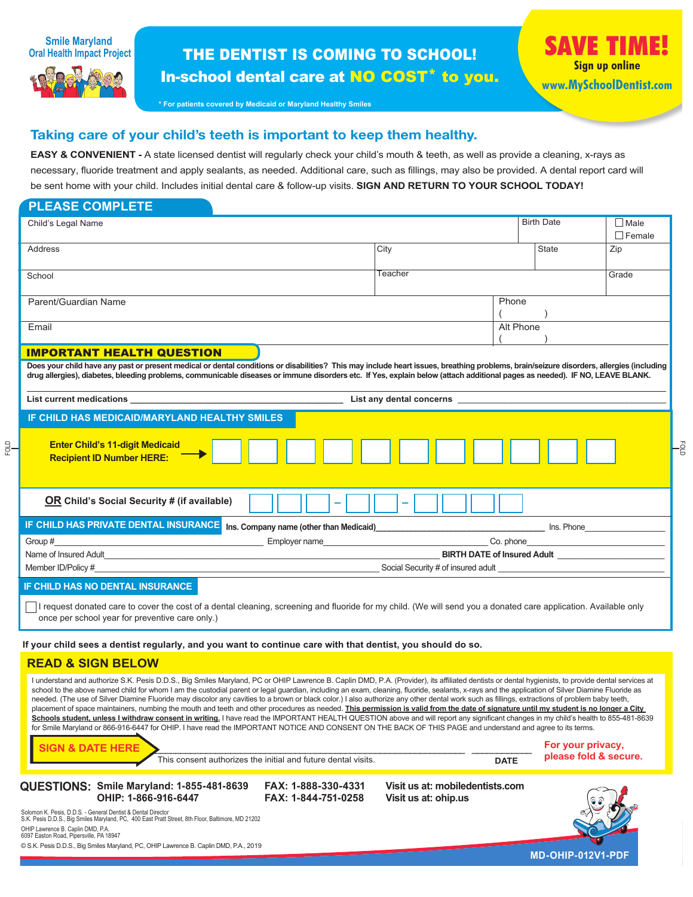



# THE DENTIST IS COMING TO SCHOOL! In-school dental care at NO COST\* to you.

**\* For patients covered by Medicaid or Maryland Healthy Smiles** 

# Taking care of your child's teeth is important to keep them healthy.

**EASY & CONVENIENT** - A state licensed dentist will regularly check your child's mouth & teeth, as well as provide a cleaning, x-rays as necessary, fluoride treatment and apply sealants, as needed. Additional care, such as fillings, may also be provided. A dental report card will be sent home with your child. Includes initial dental care & follow-up visits. **SIGN AND RETURN TO YOUR SCHOOL TODAY!**

| <b>PLEASE COMPLETE</b>                                                                                                                                                                                                                                                                                                                                                                                     |                                                                                                                                                                                                                               |  |                   |               |  |  |  |
|------------------------------------------------------------------------------------------------------------------------------------------------------------------------------------------------------------------------------------------------------------------------------------------------------------------------------------------------------------------------------------------------------------|-------------------------------------------------------------------------------------------------------------------------------------------------------------------------------------------------------------------------------|--|-------------------|---------------|--|--|--|
| Child's Legal Name                                                                                                                                                                                                                                                                                                                                                                                         |                                                                                                                                                                                                                               |  | <b>Birth Date</b> | $\Box$ Male   |  |  |  |
|                                                                                                                                                                                                                                                                                                                                                                                                            |                                                                                                                                                                                                                               |  |                   | $\Box$ Female |  |  |  |
| Address                                                                                                                                                                                                                                                                                                                                                                                                    | City                                                                                                                                                                                                                          |  | <b>State</b>      | Zip           |  |  |  |
|                                                                                                                                                                                                                                                                                                                                                                                                            | Teacher                                                                                                                                                                                                                       |  |                   | Grade         |  |  |  |
| School                                                                                                                                                                                                                                                                                                                                                                                                     |                                                                                                                                                                                                                               |  |                   |               |  |  |  |
| Parent/Guardian Name                                                                                                                                                                                                                                                                                                                                                                                       | Phone                                                                                                                                                                                                                         |  |                   |               |  |  |  |
|                                                                                                                                                                                                                                                                                                                                                                                                            |                                                                                                                                                                                                                               |  |                   |               |  |  |  |
| Email                                                                                                                                                                                                                                                                                                                                                                                                      |                                                                                                                                                                                                                               |  | Alt Phone         |               |  |  |  |
|                                                                                                                                                                                                                                                                                                                                                                                                            |                                                                                                                                                                                                                               |  |                   |               |  |  |  |
| <b>IMPORTANT HEALTH QUESTION</b><br>Does your child have any past or present medical or dental conditions or disabilities? This may include heart issues, breathing problems, brain/seizure disorders, allergies (including<br>drug allergies), diabetes, bleeding problems, communicable diseases or immune disorders etc. If Yes, explain below (attach additional pages as needed). IF NO, LEAVE BLANK. |                                                                                                                                                                                                                               |  |                   |               |  |  |  |
| List current medications experience of the state of the state of the state of the state of the state of the state of the state of the state of the state of the state of the state of the state of the state of the state of t                                                                                                                                                                             | List any dental concerns example of the state of the state of the state of the state of the state of the state of the state of the state of the state of the state of the state of the state of the state of the state of the |  |                   |               |  |  |  |
| IF CHILD HAS MEDICAID/MARYLAND HEALTHY SMILES                                                                                                                                                                                                                                                                                                                                                              |                                                                                                                                                                                                                               |  |                   |               |  |  |  |
| <b>Enter Child's 11-digit Medicaid</b><br><b>Recipient ID Number HERE:</b>                                                                                                                                                                                                                                                                                                                                 |                                                                                                                                                                                                                               |  |                   |               |  |  |  |
| <b>OR</b> Child's Social Security # (if available)                                                                                                                                                                                                                                                                                                                                                         |                                                                                                                                                                                                                               |  |                   |               |  |  |  |

| IF CHILD HAS PRIVATE DENTAL INSURANCE I | Ins. Company name (other than Medicaid) | Ins. Phone                         |  |  |
|-----------------------------------------|-----------------------------------------|------------------------------------|--|--|
| Group #                                 | Employer name                           | Co. phone                          |  |  |
| Name of Insured Adult                   | <b>BIRTH DATE of Insured Adult</b>      |                                    |  |  |
| Member ID/Policy #                      |                                         | Social Security # of insured adult |  |  |

## **IF CHILD HAS NO DENTAL INSURANCE**

FOLD

I request donated care to cover the cost of a dental cleaning, screening and fluoride for my child. (We will send you a donated care application. Available only once per school year for preventive care only.)

 **If your child sees a dentist regularly, and you want to continue care with that dentist, you should do so.**

# **READ & SIGN BELOW**

**SIGN & DATE HERE**  $\blacksquare$ I understand and authorize S.K. Pesis D.D.S., Big Smiles Maryland, PC or OHIP Lawrence B. Caplin DMD, P.A. (Provider), its affiliated dentists or dental hygienists, to provide dental services at school to the above named child for whom I am the custodial parent or legal guardian, including an exam, cleaning, fluoride, sealants, x-rays and the application of Silver Diamine Fluoride as needed. (The use of Silver Diamine Fluoride may discolor any cavities to a brown or black color.) I also authorize any other dental work such as fillings, extractions of problem baby teeth, placement of space maintainers, numbing the mouth and teeth and other procedures as needed. This permission is valid from the date of signature until my student is no longer a City Schools student, unless I withdraw consent in writing. I have read the IMPORTANT HEALTH QUESTION above and will report any significant changes in my child's health to 855-481-8639 for Smile Maryland or 866-916-6447 for OHIP. I have read the IMPORTANT NOTICE AND CONSENT ON THE BACK OF THIS PAGE and understand and agree to its terms.

This consent authorizes the initial and future dental visits.

**DATE**

**please fold & secure.**

-g

**QUESTIONS: Smile Maryland: 1-855-481-8639 FAX: 1-888-330-4331 Visit us at: mobiledentists.com**

**OHIP: 1-866-916-6447 FAX: 1-844-751-0258 Visit us at: ohip.us**

**MD-OHIP-012V1-PDF**

Solomon K. Pesis, D.D.S. - General Dentist & Dental Director S.K. Pesis D.D.S., Big Smiles Maryland, PC, 400 East Pratt Street, 8th Floor, Baltimore, MD 21202 OHIP Lawrence B. Caplin DMD, P.A. 6097 Easton Road, Pipersville, PA 18947

© S.K. Pesis D.D.S., Big Smiles Maryland, PC, OHIP Lawrence B. Caplin DMD, P.A., 2019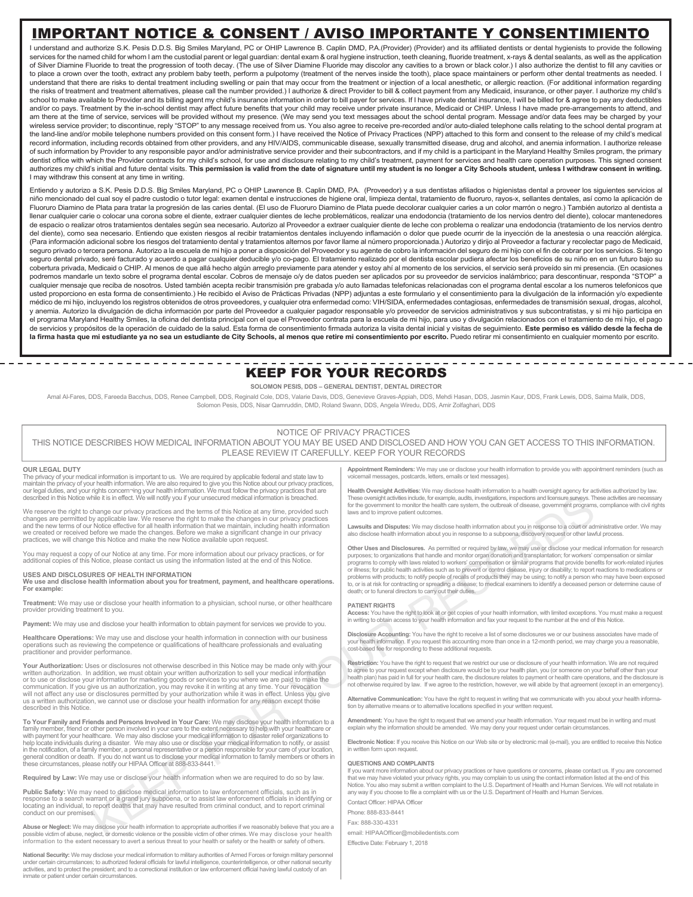# IMPORTANT NOTICE & CONSENT / AVISO IMPORTANTE Y CONSENTIMIENTO

I understand and authorize S.K. Pesis D.D.S. Big Smiles Maryland, PC or OHIP Lawrence B. Caplin DMD, P.A.(Provider) (Provider) and its affiliated dentists or dental hygienists to provide the following services for the named child for whom I am the custodial parent or legal guardian: dental exam & oral hygiene instruction, teeth cleaning, fluoride treatment, x-rays & dental sealants, as well as the application of Silver Diamine Fluoride to treat the progression of tooth decay. (The use of Silver Diamine Fluoride may discolor any cavities to a brown or black color.) I also authorize the dentist to fill any cavities or to place a crown over the tooth, extract any problem baby teeth, perform a pulpotomy (treatment of the nerves inside the tooth), place space maintainers or perform other dental treatments as needed. I understand that there are risks to dental treatment including swelling or pain that may occur from the treatment or injection of a local anesthetic, or allergic reaction. (For additional information regarding the risks of treatment and treatment alternatives, please call the number provided.) I authorize & direct Provider to bill & collect payment from any Medicaid, insurance, or other payer. I authorize my child's school to make available to Provider and its billing agent my child's insurance information in order to bill payer for services. If I have private dental insurance, I will be billed for & agree to pay any deductibles and/or co pays. Treatment by the in-school dentist may affect future benefits that your child may receive under private insurance, Medicaid or CHIP. Unless I have made pre-arrangements to attend, and am there at the time of service, services will be provided without my presence. (We may send you text messages about the school dental program. Message and/or data fees may be charged by your wireless service provider; to discontinue, reply "STOP" to any message received from us. You also agree to receive pre-recorded and/or auto-dialed telephone calls relating to the school dental program at the land-line and/or mobile telephone numbers provided on this consent form.) I have received the Notice of Privacy Practices (NPP) attached to this form and consent to the release of my child's medical record information, including records obtained from other providers, and any HIV/AIDS, communicable disease, sexually transmitted disease, drug and alcohol, and anemia information. I authorize release of such information by Provider to any responsible payor and/or administrative service provider and their subcontractors, and if my child is a participant in the Maryland Healthy Smiles program, the primary dentist office with which the Provider contracts for my child's school, for use and disclosure relating to my child's treatment, payment for services and health care operation purposes. This signed consent authorizes my child's initial and future dental visits. This permission is valid from the date of signature until my student is no longer a City Schools student, unless I withdraw consent in writing. I may withdraw this consent at any time in writing.

Entiendo y autorizo a S.K. Pesis D.D.S. Big Smiles Maryland, PC o OHIP Lawrence B. Caplin DMD, P.A. (Proveedor) y a sus dentistas afiliados o higienistas dental a proveer los siguientes servicios al niño mencionado del cual soy el padre custodio o tutor legal: examen dental e instrucciones de higiene oral, limpieza dental, tratamiento de fluoruro, rayos-x, sellantes dentales, así como la aplicación de Fluoruro Diamino de Plata para tratar la progresión de las caries dental. (El uso de Fluoruro Diamino de Plata puede decolorar cualquier caries a un color marrón o negro.) También autorizo al dentista a llenar cualquier carie o colocar una corona sobre el diente, extraer cualquier dientes de leche problemáticos, realizar una endodoncia (tratamiento de los nervios dentro del diente), colocar mantenedores de espacio o realizar otros tratamientos dentales según sea necesario. Autorizo al Proveedor a extraer cualquier diente de leche con problema o realizar una endodoncia (tratamiento de los nervios dentro del diente), como sea necesario. Entiendo que existen riesgos al recibir tratamientos dentales incluyendo inflamación o dolor que puede ocurrir de la inyección de la anestesia o una reacción alérgica. (Para información adicional sobre los riesgos del tratamiento dental y tratamientos alternos por favor llame al número proporcionada.) Autorizo y dirijo al Proveedor a facturar y recolectar pago de Medicaid, seguro privado o tercera persona. Autorizo a la escuela de mi hijo a poner a disposición del Proveedor y su agente de cobro la información del seguro de mi hijo con el fin de cobrar por los servicios. Si tengo seguro dental privado, seré facturado y acuerdo a pagar cualquier deducible y/o co-pago. El tratamiento realizado por el dentista escolar pudiera afectar los beneficios de su niño en en un futuro bajo su cobertura privada, Medicaid o CHIP. Al menos de que allá hecho algún arreglo previamente para atender y estoy ahí al momento de los servicios, el servicio será proveído sin mi presencia. (En ocasiones podremos mandarle un texto sobre el programa dental escolar. Cobros de mensaje o/y de datos pueden ser aplicados por su proveedor de servicios inalámbrico; para descontinuar, responda "STOP" a cualquier mensaje que reciba de nosotros. Usted también acepta recibir transmisión pre grabada y/o auto llamadas telefonicas relacionadas con el programa dental escolar a los numeros telefonicos que usted proporciono en esta forma de consentimiento.) He recibido el Aviso de Prácticas Privadas (NPP) adjuntas a este formulario y el consentimiento para la divulgación de la información y/o expediente médico de mi hijo, incluyendo los registros obtenidos de otros proveedores, y cualquier otra enfermedad como: VIH/SIDA, enfermedades contagiosas, enfermedades de transmisión sexual, drogas, alcohol, y anemia. Autorizo la divulgación de dicha información por parte del Proveedor a cualquier pagador responsable y/o proveedor de servicios administrativos y sus subcontratistas, y si mi hijo participa en el programa Maryland Healthy Smiles, la oficina del dentista principal con el que el Proveedor contrata para la escuela de mi hijo, para uso y divulgación relacionados con el tratamiento de mi hijo, el pago de servicios y propósitos de la operación de cuidado de la salud. Esta forma de consentimiento firmada autoriza la visita dental inicial y visitas de seguimiento. **Este permiso es válido desde la fecha de**  la firma hasta que mi estudiante ya no sea un estudiante de City Schools, al menos que retire mi consentimiento por escrito. Puedo retirar mi consentimiento en cualquier momento por escrito.

# KEEP FOR YOUR RECORDS

### **SOLOMON PESIS, DDS – GENERAL DENTIST, DENTAL DIRECTOR**

Amal Al-Fares, DDS, Fareeda Bacchus, DDS, Renee Campbell, DDS, Reginald Cole, DDS, Valarie Davis, DDS, Genevieve Graves-Appiah, DDS, Mehdi Hasan, DDS, Jasmin Kaur, DDS, Frank Lewis, DDS, Saima Malik, DDS, DDS, Saima Malik, Solomon Pesis, DDS, Nisar Qamruddin, DMD, Roland Swann, DDS, Angela Wiredu, DDS, Amir Zolfaghari, DDS

### NOTICE OF PRIVACY PRACTICES

THIS NOTICE DESCRIBES HOW MEDICAL INFORMATION ABOUT YOU MAY BE USED AND DISCLOSED AND HOW YOU CAN GET ACCESS TO THIS INFORMATION. PLEASE REVIEW IT CAREFULLY. KEEP FOR YOUR RECORDS

### **OUR LEGAL DUTY**

The privacy of your medical information is important to us. We are required by applicable federal and state law to maintain the privacy of your health information. We are also required to give you this Notice about our privacy practices,<br>our legal duties, and your rights concern~ing your health information. We must follow the privacy p

We reserve the right to change our privacy practices and the terms of this Notice at any time, provided such changes are permitted by applicable law. We reserve the right to make the changes in our privacy practices<br>and the new terms of our Notice effective for all health information that we maintain, including health information practices, we will change this Notice and make the new Notice available upon request.

You may request a copy of our Notice at any time. For more information about our privacy practices, or for additional copies of this Notice, please contact us using the information listed at the end of this Notice.

**USES AND DISCLOSURES OF HEALTH INFORMATION We use and disclose health information about you for treatment, payment, and healthcare operations. For example:** 

**Treatment:** We may use or disclose your health information to a physician, school nurse, or other healthcare provider providing treatment to you.

Payment: We may use and disclose your health information to obtain payment for services we provide to you.

**Healthcare Operations:** We may use and disclose your health information in connection with our business operations such as reviewing the competence or qualifications of healthcare professionals and evaluating practitioner and provider performance.

**Your Authorization:** Uses or disclosures not otherwise described in this Notice may be made only with your written authorization. In addition, we must obtain your written authorization to sell your medical information or to use or disclose your information for marketing goods or services to you where we are paid to make the<br>communication. If you give us an authorization, you may revoke it in writing at any time. Your revocation<br>will not us a written authorization, we cannot use or disclose your health information for any reason except those described in this Notice.

To Your Family and Friends and Persons Involved in Your Care: We may disclose your health information to a<br>family member, friend or other person involved in your care to the extent necessary to help with your healthcare or

**Required by Law:** We may use or disclose your health information when we are required to do so by law.

**Public Safety:** We may need to disclose medical information to law enforcement officials, such as in response to a search warrant or a grand jury subpoena, or to assist law enforcement officials in identifying or locating an individual, to report deaths that may have resulted from criminal conduct, and to report criminal conduct on our premises.

**Abuse or Neglect:** We may disclose your health information to appropriate authorities if we reasonably believe that you are a possible victim of abuse, neglect, or domestic violence or the possible victim of other crimes. We may disclose your health information to the extent necessary to avert a serious threat to your health or safety or the health or safety of others.

**National Security:** We may disclose your medical information to military authorities of Armed Forces or foreign military personnel under certain circumstances; to authorized federal officials for lawful intelligence, counterintelligence, or other national security activities, and to protect the president; and to a correctional institution or law enforcement official having lawful custody of an inmate or patient under certain circumstances.

**Appointment Reminders:** We may use or disclose your health information to provide you with appointment reminders (such as .<br>cemail messages, postcards, letters, emails or text messages).

**Health Oversight Activities:** We may disclose health information to a health oversight agency for activities authorized by law. These oversight activities include, for example, audits, investigations, inspections and licensure surveys. These activities are necessary<br>for the government to monitor the health care system, the outbreak of disease, gove

**Lawsuits and Disputes:** We may disclose health information about you in response to a court or administrative order. We may also disclose health information about you in response to a subpoena, discovery request or other lawful process.

His The method with complete the state in the state in the state in the state in the state in the state in the state in the state in the state in the state in the state in the state in the state in the state in the state **Other Uses and Disclosures.** As permitted or required by law, we may use or disclose your medical information for research purposes; to organizations that handle and monitor organ donation and transplantation; for workers' compensation or similar programs to comply with laws related to workers' compensation or similar programs that provide ben or illness; for public health activities such as to prevent or control disease, injury or disability; to report reactions to medications or problems with products; to notify people of recalls of products they may be using; to, or is at risk for contracting or spreading a disease; to medical examiners to identify a deceased person or determine cause of death; or to funeral directors to carry out their duties.

### **PATIENT RIGHTS**

**Access:** You have the right to look at or get copies of your health information, with limited exceptions. You must make a request in writing to obtain access to your health information and fax your request to the number at the end of this Notice.

**Disclosure Accounting:** You have the right to receive a list of some disclosures we or our business associates have made of your health information. If you request this accounting more than once in a 12-month period, we may charge you a reasonable, cost-based fee for responding to these additional requests.

**Restriction:** You have the right to request that we restrict our use or disclosure of your health information. We are not required to agree to your request except when disclosure would be to your health plan, you (or someone on your behalf other than your<br>health plan) has paid in full for your health care, the disclosure relates to payment or health c

**Alternative Communication:** You have the right to request in writing that we communicate with you about your health informa-<br>tion by alternative means or to alternative locations specified in your written request.

**Amendment:** You have the right to request that we amend your health information. Your request must be in writing and must explain why the information should be amended. We may deny your request under certain circumstance

**Electronic Notice:** If you receive this Notice on our Web site or by electronic mail (e-mail), you are entitled to receive this Notice in written form upon request.

### **QUESTIONS AND COMPLAINTS**

lf you want more information about our privacy practices or have questions or concerns, please contact us. If you are concerned<br>that we may have violated your privacy rights, you may complain to us using the contact inform Notice. You also may submit a written complaint to the U.S. Department of Health and Human Services. We will not retaliate in<br>any way if you choose to file a complaint with us or the U.S. Department of Health and Human Ser

Contact Officer: HIPAA Officer Phone: 888-833-8441

Fax: 888-330-4331

email: HIPAAOfficer@mobiledentists.com Effective Date: February 1, 2018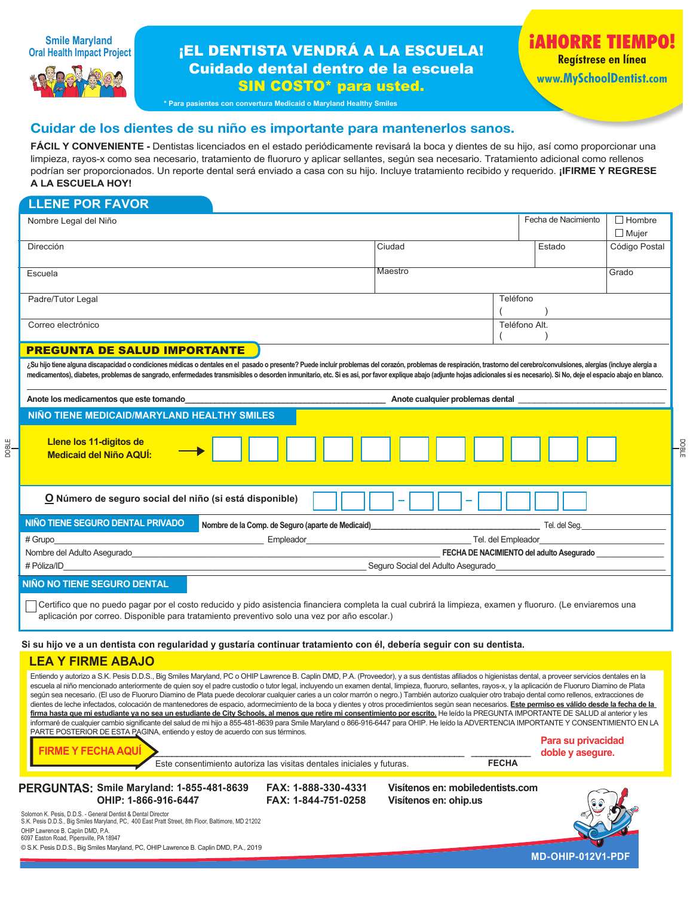

# **¡EL DENTISTA VENDRÁ A LA ESCUELA!** Cuidado dental dentro de la escuela SIN COSTO\* para usted.

**iAHORRE TIEMPO! Regístrese en línea www.MySchoolDentist.com**

DOBLE

**\* Para pasientes con convertura Medicaid o Maryland Healthy Smiles**

# Cuidar de los dientes de su niño es importante para mantenerlos sanos.

**FÁCIL Y CONVENIENTE -** Dentistas licenciados en el estado periódicamente revisará la boca y dientes de su hijo, así como proporcionar una limpieza, rayos-x como sea necesario, tratamiento de fluoruro y aplicar sellantes, según sea necesario. Tratamiento adicional como rellenos podrían ser proporcionados. Un reporte dental será enviado a casa con su hijo. Incluye tratamiento recibido y requerido. **¡IFIRME Y REGRESE A LA ESCUELA HOY!**

DOBLE

| <b>LLENE POR FAVOR</b>                                                                                                                                                                                                                                                                                                                                                                                                                                                                                                                                                                                                                                                                                                                                                                                                                                                                                                                                                                                                                                                                                                                                                                                                                                                                                                          |                                                                            |              |                     |                               |  |  |  |  |  |
|---------------------------------------------------------------------------------------------------------------------------------------------------------------------------------------------------------------------------------------------------------------------------------------------------------------------------------------------------------------------------------------------------------------------------------------------------------------------------------------------------------------------------------------------------------------------------------------------------------------------------------------------------------------------------------------------------------------------------------------------------------------------------------------------------------------------------------------------------------------------------------------------------------------------------------------------------------------------------------------------------------------------------------------------------------------------------------------------------------------------------------------------------------------------------------------------------------------------------------------------------------------------------------------------------------------------------------|----------------------------------------------------------------------------|--------------|---------------------|-------------------------------|--|--|--|--|--|
| Nombre Legal del Niño                                                                                                                                                                                                                                                                                                                                                                                                                                                                                                                                                                                                                                                                                                                                                                                                                                                                                                                                                                                                                                                                                                                                                                                                                                                                                                           |                                                                            |              | Fecha de Nacimiento | $\Box$ Hombre<br>$\Box$ Mujer |  |  |  |  |  |
| Dirección                                                                                                                                                                                                                                                                                                                                                                                                                                                                                                                                                                                                                                                                                                                                                                                                                                                                                                                                                                                                                                                                                                                                                                                                                                                                                                                       | Ciudad                                                                     |              | Estado              | Código Postal                 |  |  |  |  |  |
| Escuela                                                                                                                                                                                                                                                                                                                                                                                                                                                                                                                                                                                                                                                                                                                                                                                                                                                                                                                                                                                                                                                                                                                                                                                                                                                                                                                         | Maestro                                                                    |              |                     | Grado                         |  |  |  |  |  |
| Padre/Tutor Legal                                                                                                                                                                                                                                                                                                                                                                                                                                                                                                                                                                                                                                                                                                                                                                                                                                                                                                                                                                                                                                                                                                                                                                                                                                                                                                               |                                                                            |              | Teléfono            |                               |  |  |  |  |  |
| Correo electrónico                                                                                                                                                                                                                                                                                                                                                                                                                                                                                                                                                                                                                                                                                                                                                                                                                                                                                                                                                                                                                                                                                                                                                                                                                                                                                                              |                                                                            |              | Teléfono Alt.       |                               |  |  |  |  |  |
| <b>PREGUNTA DE SALUD IMPORTANTE</b>                                                                                                                                                                                                                                                                                                                                                                                                                                                                                                                                                                                                                                                                                                                                                                                                                                                                                                                                                                                                                                                                                                                                                                                                                                                                                             |                                                                            |              |                     |                               |  |  |  |  |  |
| ¿Su hijo tiene alguna discapacidad o condiciones médicas o dentales en el pasado o presente? Puede incluir problemas del corazón, problemas de respiración, trastorno del cerebro/convulsiones, alergias (incluye alergia a<br>medicamentos), diabetes, problemas de sangrado, enfermedades transmisibles o desorden inmunitario, etc. Si es así, por favor explique abajo (adjunte hojas adicionales si es necesario). Si No, deje el espacio abajo en blanc                                                                                                                                                                                                                                                                                                                                                                                                                                                                                                                                                                                                                                                                                                                                                                                                                                                                   |                                                                            |              |                     |                               |  |  |  |  |  |
| Anote los medicamentos que este tomando                                                                                                                                                                                                                                                                                                                                                                                                                                                                                                                                                                                                                                                                                                                                                                                                                                                                                                                                                                                                                                                                                                                                                                                                                                                                                         | Anote cualquier problemas dental                                           |              |                     |                               |  |  |  |  |  |
| NIÑO TIENE MEDICAID/MARYLAND HEALTHY SMILES                                                                                                                                                                                                                                                                                                                                                                                                                                                                                                                                                                                                                                                                                                                                                                                                                                                                                                                                                                                                                                                                                                                                                                                                                                                                                     |                                                                            |              |                     |                               |  |  |  |  |  |
| Llene los 11-digitos de<br><b>Medicaid del Niño AQUÍ:</b>                                                                                                                                                                                                                                                                                                                                                                                                                                                                                                                                                                                                                                                                                                                                                                                                                                                                                                                                                                                                                                                                                                                                                                                                                                                                       |                                                                            |              |                     |                               |  |  |  |  |  |
| O Número de seguro social del niño (si está disponible)                                                                                                                                                                                                                                                                                                                                                                                                                                                                                                                                                                                                                                                                                                                                                                                                                                                                                                                                                                                                                                                                                                                                                                                                                                                                         |                                                                            |              |                     |                               |  |  |  |  |  |
| NIÑO TIENE SEGURO DENTAL PRIVADO<br>Nombre de la Comp. de Seguro (aparte de Medicaid)                                                                                                                                                                                                                                                                                                                                                                                                                                                                                                                                                                                                                                                                                                                                                                                                                                                                                                                                                                                                                                                                                                                                                                                                                                           | the control of the control of the control of the control of the control of |              |                     |                               |  |  |  |  |  |
| $#$ Grupo                                                                                                                                                                                                                                                                                                                                                                                                                                                                                                                                                                                                                                                                                                                                                                                                                                                                                                                                                                                                                                                                                                                                                                                                                                                                                                                       | Tel. del Empleador                                                         |              |                     |                               |  |  |  |  |  |
| Nombre del Adulto Asegurado                                                                                                                                                                                                                                                                                                                                                                                                                                                                                                                                                                                                                                                                                                                                                                                                                                                                                                                                                                                                                                                                                                                                                                                                                                                                                                     | FECHA DE NACIMIENTO del adulto Asegurado                                   |              |                     |                               |  |  |  |  |  |
| # Póliza/ID                                                                                                                                                                                                                                                                                                                                                                                                                                                                                                                                                                                                                                                                                                                                                                                                                                                                                                                                                                                                                                                                                                                                                                                                                                                                                                                     | Seguro Social del Adulto Asegurado                                         |              |                     |                               |  |  |  |  |  |
| NIÑO NO TIENE SEGURO DENTAL                                                                                                                                                                                                                                                                                                                                                                                                                                                                                                                                                                                                                                                                                                                                                                                                                                                                                                                                                                                                                                                                                                                                                                                                                                                                                                     |                                                                            |              |                     |                               |  |  |  |  |  |
| Certifico que no puedo pagar por el costo reducido y pido asistencia financiera completa la cual cubrirá la limpieza, examen y fluoruro. (Le enviaremos una<br>aplicación por correo. Disponible para tratamiento preventivo solo una vez por año escolar.)                                                                                                                                                                                                                                                                                                                                                                                                                                                                                                                                                                                                                                                                                                                                                                                                                                                                                                                                                                                                                                                                     |                                                                            |              |                     |                               |  |  |  |  |  |
| Si su hijo ve a un dentista con regularidad y gustaría continuar tratamiento con él, debería seguir con su dentista.                                                                                                                                                                                                                                                                                                                                                                                                                                                                                                                                                                                                                                                                                                                                                                                                                                                                                                                                                                                                                                                                                                                                                                                                            |                                                                            |              |                     |                               |  |  |  |  |  |
| <b>LEA Y FIRME ABAJO</b>                                                                                                                                                                                                                                                                                                                                                                                                                                                                                                                                                                                                                                                                                                                                                                                                                                                                                                                                                                                                                                                                                                                                                                                                                                                                                                        |                                                                            |              |                     |                               |  |  |  |  |  |
| Entiendo y autorizo a S.K. Pesis D.D.S., Big Smiles Maryland, PC o OHIP Lawrence B. Caplin DMD, P.A. (Proveedor), y a sus dentistas afiliados o higienistas dental, a proveer servicios dentales en la<br>escuela al niño mencionado anteriormente de quien soy el padre custodio o tutor legal, incluyendo un examen dental, limpieza, fluoruro, sellantes, rayos-x, y la aplicación de Fluoruro Diamino de Plata<br>según sea necesario. (El uso de Fluoruro Diamino de Plata puede decolorar cualquier caries a un color marrón o negro.) También autorizo cualquier otro trabajo dental como rellenos, extracciones de<br>dientes de leche infectados, colocación de mantenedores de espacio, adormecimiento de la boca y dientes y otros procedimientos según sean necesarios. Este permiso es válido desde la fecha de la<br>firma hasta que mi estudiante ya no sea un estudiante de City Schools, al menos que retire mi consentimiento por escrito. He leído la PREGUNTA IMPORTANTE DE SALUD al anterior y les<br>informaré de cualquier cambio significante del salud de mi hijo a 855-481-8639 para Smile Maryland o 866-916-6447 para OHIP. He leído la ADVERTENCIA IMPORTANTE Y CONSENTIMIENTO EN LA<br>PARTE POSTERIOR DE ESTA PAGINA, entiendo y estoy de acuerdo con sus términos.<br><b>FIRME Y FECHA AQUÍ</b> |                                                                            |              | Para su privacidad  |                               |  |  |  |  |  |
| Este consentimiento autoriza las visitas dentales iniciales y futuras.                                                                                                                                                                                                                                                                                                                                                                                                                                                                                                                                                                                                                                                                                                                                                                                                                                                                                                                                                                                                                                                                                                                                                                                                                                                          |                                                                            | <b>FECHA</b> | doble y asegure.    |                               |  |  |  |  |  |
| PERGUNTAS: Smile Maryland: 1-855-481-8639<br>FAX: 1-888-330-4331<br>OHIP: 1-866-916-6447<br>FAX: 1-844-751-0258                                                                                                                                                                                                                                                                                                                                                                                                                                                                                                                                                                                                                                                                                                                                                                                                                                                                                                                                                                                                                                                                                                                                                                                                                 | Visítenos en: mobiledentists.com<br>Visítenos en: ohip.us                  |              |                     |                               |  |  |  |  |  |

Solomon K. Pesis, D.D.S. - General Dentist & Dental Director S.K. Pesis D.D.S., Big Smiles Maryland, PC, 400 East Pratt Street, 8th Floor, Baltimore, MD 21202 OHIP Lawrence B. Caplin DMD, P.A. 6097 Easton Road, Pipersville, PA 18947 © S.K. Pesis D.D.S., Big Smiles Maryland, PC, OHIP Lawrence B. Caplin DMD, P.A., 2019